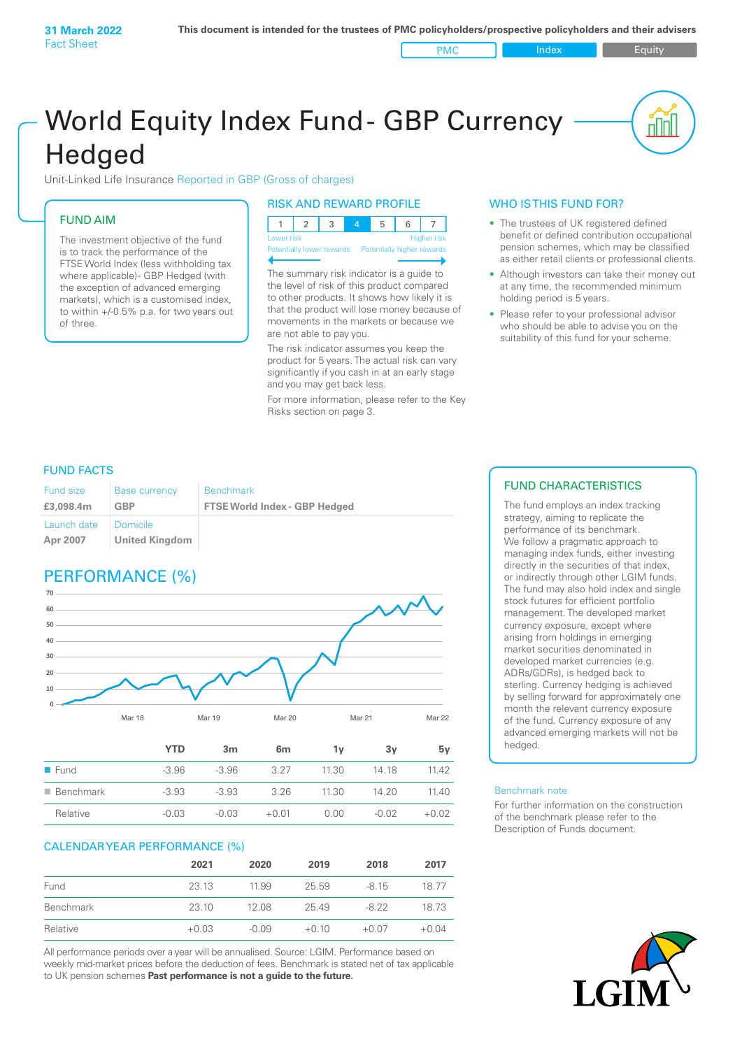PMC Index PMC Equity

<u>nul</u>

# World Equity Index Fund- GBP Currency **Hedged**

Unit-Linked Life Insurance Reported in GBP (Gross of charges)

### FUND AIM

The investment objective of the fund is to track the performance of the FTSE World Index (less withholding tax where applicable) - GBP Hedged (with the exception of advanced emerging markets), which is a customised index, to within +/‑0.5% p.a. for two years out of three.

### RISK AND REWARD PROFILE

| Lower risk |  |  |  | <b>Higher risk</b> |
|------------|--|--|--|--------------------|

ntially lower rewards Potentially higher rey

The summary risk indicator is a guide to the level of risk of this product compared to other products. It shows how likely it is that the product will lose money because of movements in the markets or because we are not able to pay you.

The risk indicator assumes you keep the product for 5 years. The actual risk can vary significantly if you cash in at an early stage and you may get back less.

For more information, please refer to the Key Risks section on page 3.

### WHO IS THIS FUND FOR?

- The trustees of UK registered defined benefit or defined contribution occupational pension schemes, which may be classified as either retail clients or professional clients.
- Although investors can take their money out at any time, the recommended minimum holding period is 5 years.
- Please refer to your professional advisor who should be able to advise you on the suitability of this fund for your scheme.

### FUND FACTS

| <b>Fund size</b>        | <b>Base currency</b>       | <b>Benchmark</b>                     |
|-------------------------|----------------------------|--------------------------------------|
| £3,098,4m               | GBP                        | <b>FTSE World Index - GBP Hedged</b> |
| Launch date<br>Apr 2007 | Domicile<br>United Kingdom |                                      |

### PERFORMANCE (%)



| $\blacksquare$ Fund      | -3.96   | $-3.96$ | 3.27    | 11.30 | 14 18   | 11 42   |
|--------------------------|---------|---------|---------|-------|---------|---------|
| $\blacksquare$ Benchmark | $-3.93$ | $-3.93$ | 326     | 11.30 | 14.20   | 11 40   |
| Relative                 | $-0.03$ | $-0.03$ | $+0.01$ | 0.00  | $-0.02$ | $+0.02$ |
|                          |         |         |         |       |         |         |

### CALENDAR YEAR PERFORMANCE (%)

|           | 2021    | 2020    | 2019    | 2018    | 2017    |
|-----------|---------|---------|---------|---------|---------|
| Fund      | 23.13   | 11.99   | 25.59   | $-815$  | 1877    |
| Benchmark | 23.10   | 12.08   | 25.49   | $-822$  | 18.73   |
| Relative  | $+0.03$ | $-0.09$ | $+0.10$ | $+0.07$ | $+0.04$ |

All performance periods over a year will be annualised. Source: LGIM. Performance based on weekly mid-market prices before the deduction of fees. Benchmark is stated net of tax applicable to UK pension schemes **Past performance is not a guide to the future.**

### FUND CHARACTERISTICS

The fund employs an index tracking strategy, aiming to replicate the performance of its benchmark. We follow a pragmatic approach to managing index funds, either investing directly in the securities of that index, or indirectly through other LGIM funds. The fund may also hold index and single stock futures for efficient portfolio management. The developed market currency exposure, except where arising from holdings in emerging market securities denominated in developed market currencies (e.g. ADRs/GDRs), is hedged back to sterling. Currency hedging is achieved by selling forward for approximately one month the relevant currency exposure of the fund. Currency exposure of any advanced emerging markets will not be hedged.

#### Benchmark note

For further information on the construction of the benchmark please refer to the Description of Funds document.

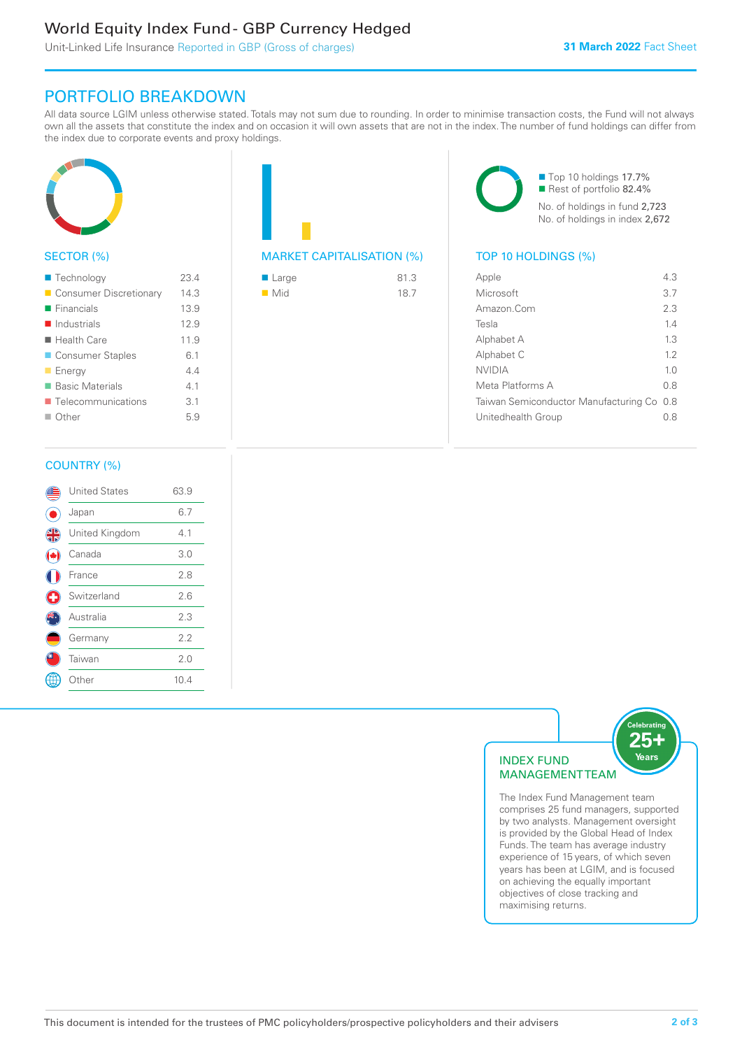### World Equity Index Fund - GBP Currency Hedged

Unit-Linked Life Insurance Reported in GBP (Gross of charges)

### PORTFOLIO BREAKDOWN

All data source LGIM unless otherwise stated. Totals may not sum due to rounding. In order to minimise transaction costs, the Fund will not always own all the assets that constitute the index and on occasion it will own assets that are not in the index. The number of fund holdings can differ from the index due to corporate events and proxy holdings.



### SECTOR (%)

| ■ Technology               | 23.4 |
|----------------------------|------|
| Consumer Discretionary     | 14.3 |
| $\blacksquare$ Financials  | 13.9 |
| $\blacksquare$ Industrials | 12.9 |
| ■ Health Care              | 11.9 |
| ■ Consumer Staples         | 61   |
| <b>Energy</b>              | 44   |
| ■ Basic Materials          | 41   |
| ■ Telecommunications       | 3.1  |
| $\blacksquare$ Other       | 5.9  |
|                            |      |

## MARKET CAPITALISATION (%) TOP 10 HOLDINGS (%)

| $\blacksquare$ Large | 81.3 |
|----------------------|------|
| $\blacksquare$ Mid   | 18.7 |

■ Top 10 holdings 17.7% Rest of portfolio 82.4% No. of holdings in fund 2,723 No. of holdings in index 2,672

| Apple                                     | 43             |
|-------------------------------------------|----------------|
| Microsoft                                 | 37             |
| Amazon Com                                | 2.3            |
| Tesla                                     | 14             |
| Alphabet A                                | 13             |
| Alphabet C                                | 12             |
| <b>NVIDIA</b>                             | 1 <sub>0</sub> |
| Meta Platforms A                          | 0 S            |
| Taiwan Semiconductor Manufacturing Co 0.8 |                |
| Unitedhealth Group                        | 0 S            |
|                                           |                |

### COUNTRY (%)

|          | <b>United States</b> | 63.9 |  |
|----------|----------------------|------|--|
|          | Japan                | 6.7  |  |
| <b>4</b> | United Kingdom       | 4.1  |  |
|          | Canada               | 3.0  |  |
|          | France               | 2.8  |  |
| Œ        | Switzerland          | 2.6  |  |
|          | Australia            | 2.3  |  |
|          | Germany              | 2.2  |  |
|          | Taiwan               | 2.0  |  |
|          | Other                | 10.4 |  |
|          |                      |      |  |



The Index Fund Management team comprises 25 fund managers, supported by two analysts. Management oversight is provided by the Global Head of Index Funds. The team has average industry experience of 15 years, of which seven years has been at LGIM, and is focused on achieving the equally important objectives of close tracking and maximising returns.